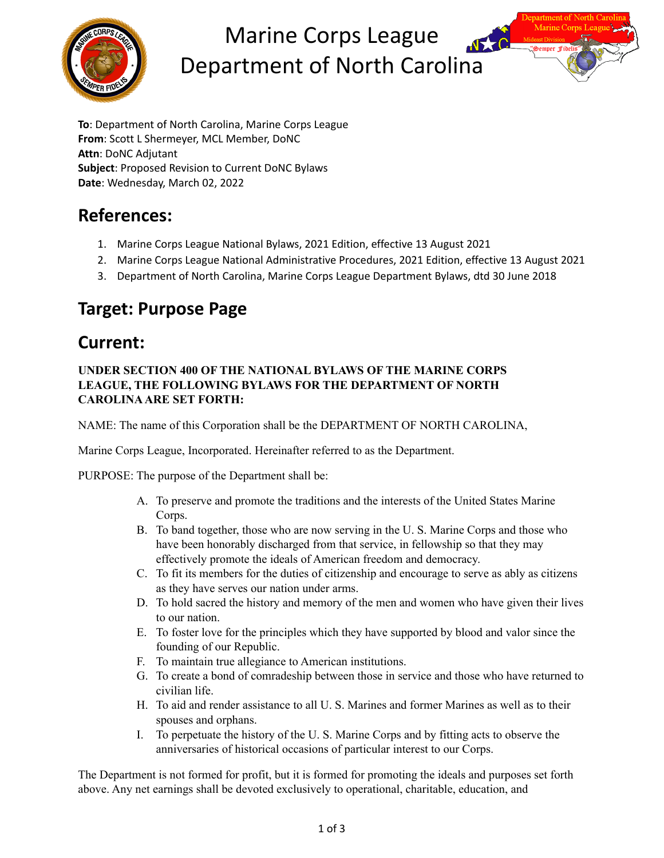

# Marine Corps League Department of North Carolina



## **References:**

- 1. Marine Corps League National Bylaws, 2021 Edition, effective 13 August 2021
- 2. Marine Corps League National Administrative Procedures, 2021 Edition, effective 13 August 2021
- 3. Department of North Carolina, Marine Corps League Department Bylaws, dtd 30 June 2018

## **Target: Purpose Page**

### **Current:**

#### **UNDER SECTION 400 OF THE NATIONAL BYLAWS OF THE MARINE CORPS LEAGUE, THE FOLLOWING BYLAWS FOR THE DEPARTMENT OF NORTH CAROLINAARE SET FORTH:**

NAME: The name of this Corporation shall be the DEPARTMENT OF NORTH CAROLINA,

Marine Corps League, Incorporated. Hereinafter referred to as the Department.

PURPOSE: The purpose of the Department shall be:

- A. To preserve and promote the traditions and the interests of the United States Marine Corps.
- B. To band together, those who are now serving in the U. S. Marine Corps and those who have been honorably discharged from that service, in fellowship so that they may effectively promote the ideals of American freedom and democracy.
- C. To fit its members for the duties of citizenship and encourage to serve as ably as citizens as they have serves our nation under arms.
- D. To hold sacred the history and memory of the men and women who have given their lives to our nation.
- E. To foster love for the principles which they have supported by blood and valor since the founding of our Republic.
- F. To maintain true allegiance to American institutions.
- G. To create a bond of comradeship between those in service and those who have returned to civilian life.
- H. To aid and render assistance to all U. S. Marines and former Marines as well as to their spouses and orphans.
- I. To perpetuate the history of the U. S. Marine Corps and by fitting acts to observe the anniversaries of historical occasions of particular interest to our Corps.

The Department is not formed for profit, but it is formed for promoting the ideals and purposes set forth above. Any net earnings shall be devoted exclusively to operational, charitable, education, and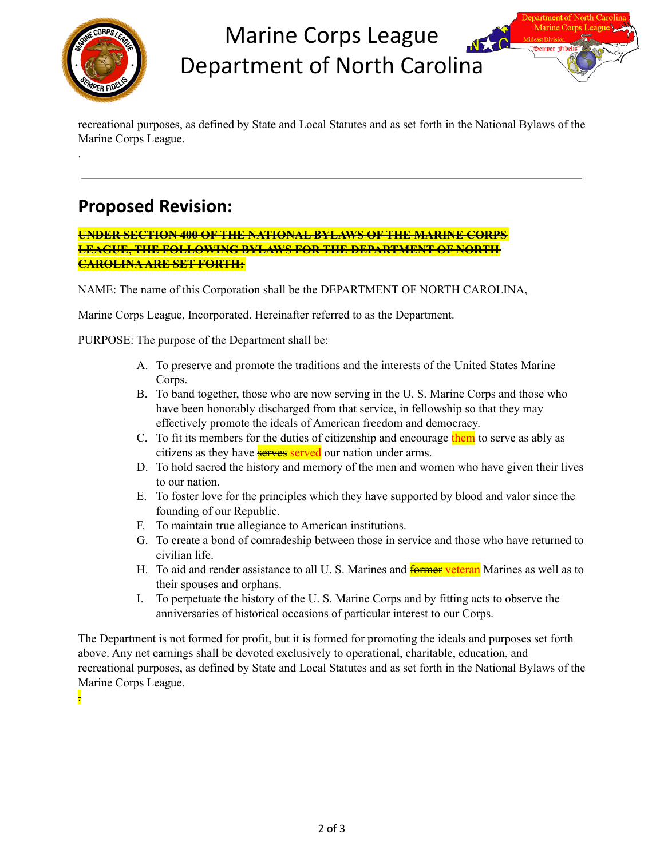

.

## Marine Corps League Department of North Carolina

recreational purposes, as defined by State and Local Statutes and as set forth in the National Bylaws of the Marine Corps League.

## **Proposed Revision:**

**UNDER SECTION 400 OF THE NATIONAL BYLAWS OF THE MARINE CORPS LEAGUE, THE FOLLOWING BYLAWS FOR THE DEPARTMENT OF NORTH CAROLINAARE SET FORTH:**

NAME: The name of this Corporation shall be the DEPARTMENT OF NORTH CAROLINA,

Marine Corps League, Incorporated. Hereinafter referred to as the Department.

PURPOSE: The purpose of the Department shall be:

- A. To preserve and promote the traditions and the interests of the United States Marine Corps.
- B. To band together, those who are now serving in the U. S. Marine Corps and those who have been honorably discharged from that service, in fellowship so that they may effectively promote the ideals of American freedom and democracy.
- C. To fit its members for the duties of citizenship and encourage them to serve as ably as citizens as they have **serves** served our nation under arms.
- D. To hold sacred the history and memory of the men and women who have given their lives to our nation.
- E. To foster love for the principles which they have supported by blood and valor since the founding of our Republic.
- F. To maintain true allegiance to American institutions.
- G. To create a bond of comradeship between those in service and those who have returned to civilian life.
- H. To aid and render assistance to all U.S. Marines and **former veteran** Marines as well as to their spouses and orphans.
- I. To perpetuate the history of the U. S. Marine Corps and by fitting acts to observe the anniversaries of historical occasions of particular interest to our Corps.

The Department is not formed for profit, but it is formed for promoting the ideals and purposes set forth above. Any net earnings shall be devoted exclusively to operational, charitable, education, and recreational purposes, as defined by State and Local Statutes and as set forth in the National Bylaws of the Marine Corps League.

.